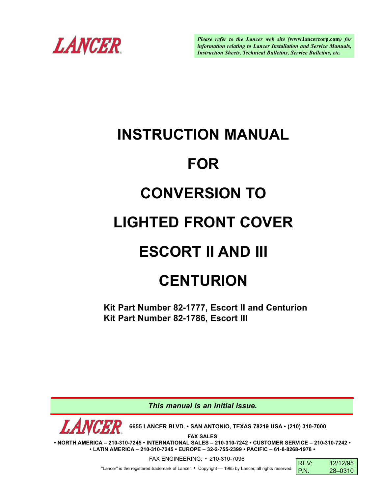

*Please refer to the Lancer web site (***www.lancercorp.com***) for information relating to Lancer Installation and Service Manuals, Instruction Sheets, Technical Bulletins, Service Bulletins, etc.*

# **INSTRUCTION MANUAL FOR CONVERSION TO LIGHTED FRONT COVER ESCORT II AND III CENTURION**

**Kit Part Number 82-1777, Escort II and Centurion Kit Part Number 82-1786, Escort III**

*This manual is an initial issue.*

**6655 LANCER BLVD. • SAN ANTONIO, TEXAS 78219 USA • (210) 310-7000**

**FAX SALES**

**• NORTH AMERICA – 210-310-7245 • INTERNATIONAL SALES – 210-310-7242 • CUSTOMER SERVICE – 210-310-7242 • • LATIN AMERICA – 210-310-7245 • EUROPE – 32-2-755-2399 • PACIFIC – 61-8-8268-1978 •**

FAX ENGINEERING: • 210-310-7096

"Lancer" is the registered trademark of Lancer • Copyright — 1995 by Lancer, all rights reserved.

| RFV <sup>-</sup> | 12/12/95 |
|------------------|----------|
| P.N.             | 28-0310  |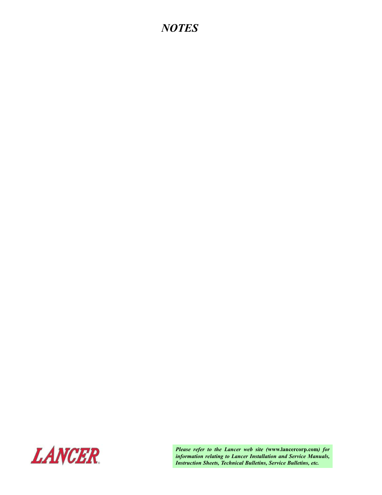# *NOTES*



*Please refer to the Lancer web site (***www.lancercorp.com***) for information relating to Lancer Installation and Service Manuals, Instruction Sheets, Technical Bulletins, Service Bulletins, etc.*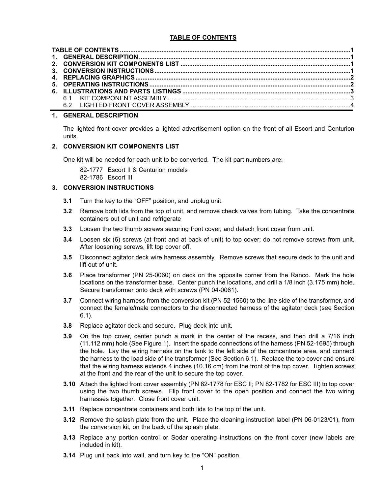# **TABLE OF CONTENTS**

| 6.2 |  |
|-----|--|

# **1. GENERAL DESCRIPTION**

The lighted front cover provides a lighted advertisement option on the front of all Escort and Centurion units.

# **2. CONVERSION KIT COMPONENTS LIST**

One kit will be needed for each unit to be converted. The kit part numbers are:

82-1777 Escort II & Centurion models 82-1786 Escort III

# **3. CONVERSION INSTRUCTIONS**

- **3.1** Turn the key to the "OFF" position, and unplug unit.
- **3.2** Remove both lids from the top of unit, and remove check valves from tubing. Take the concentrate containers out of unit and refrigerate
- **3.3** Loosen the two thumb screws securing front cover, and detach front cover from unit.
- **3.4** Loosen six (6) screws (at front and at back of unit) to top cover; do not remove screws from unit. After loosening screws, lift top cover off.
- **3.5** Disconnect agitator deck wire harness assembly. Remove screws that secure deck to the unit and lift out of unit.
- **3.6** Place transformer (PN 25-0060) on deck on the opposite corner from the Ranco. Mark the hole locations on the transformer base. Center punch the locations, and drill a 1/8 inch (3.175 mm) hole. Secure transformer onto deck with screws (PN 04-0061).
- **3.7** Connect wiring harness from the conversion kit (PN 52-1560) to the line side of the transformer, and connect the female/male connectors to the disconnected harness of the agitator deck (see Section 6.1).
- **3.8** Replace agitator deck and secure. Plug deck into unit.
- **3.9** On the top cover, center punch a mark in the center of the recess, and then drill a 7/16 inch (11.112 mm) hole (See Figure 1). Insert the spade connections of the harness (PN 52-1695) through the hole. Lay the wiring harness on the tank to the left side of the concentrate area, and connect the harness to the load side of the transformer (See Section 6.1). Replace the top cover and ensure that the wiring harness extends 4 inches (10.16 cm) from the front of the top cover. Tighten screws at the front and the rear of the unit to secure the top cover.
- **3.10** Attach the lighted front cover assembly (PN 82-1778 for ESC II; PN 82-1782 for ESC III) to top cover using the two thumb screws. Flip front cover to the open position and connect the two wiring harnesses together. Close front cover unit.
- **3.11** Replace concentrate containers and both lids to the top of the unit.
- **3.12** Remove the splash plate from the unit. Place the cleaning instruction label (PN 06-0123/01), from the conversion kit, on the back of the splash plate.
- **3.13** Replace any portion control or Sodar operating instructions on the front cover (new labels are included in kit).
- **3.14** Plug unit back into wall, and turn key to the "ON" position.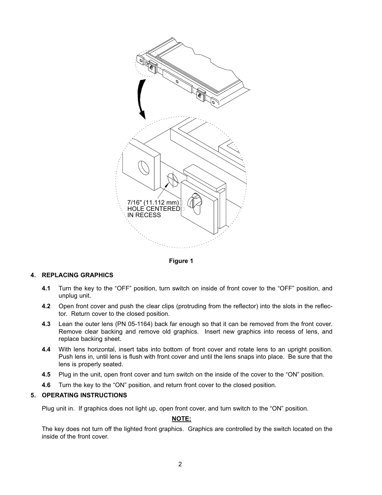

**Figure 1**

# **4. REPLACING GRAPHICS**

- **4.1** Turn the key to the "OFF" position, turn switch on inside of front cover to the "OFF" position, and unplug unit.
- **4.2** Open front cover and push the clear clips (protruding from the reflector) into the slots in the reflector. Return cover to the closed position.
- **4.3** Lean the outer lens (PN 05-1164) back far enough so that it can be removed from the front cover. Remove clear backing and remove old graphics. Insert new graphics into recess of lens, and replace backing sheet.
- **4.4** With lens horizontal, insert tabs into bottom of front cover and rotate lens to an upright position. Push lens in, until lens is flush with front cover and until the lens snaps into place. Be sure that the lens is properly seated.
- **4.5** Plug in the unit, open front cover and turn switch on the inside of the cover to the "ON" position.
- **4.6** Turn the key to the "ON" position, and return front cover to the closed position.

# **5. OPERATING INSTRUCTIONS**

Plug unit in. If graphics does not light up, open front cover, and turn switch to the "ON" position.

# **NOTE:**

The key does not turn off the lighted front graphics. Graphics are controlled by the switch located on the inside of the front cover.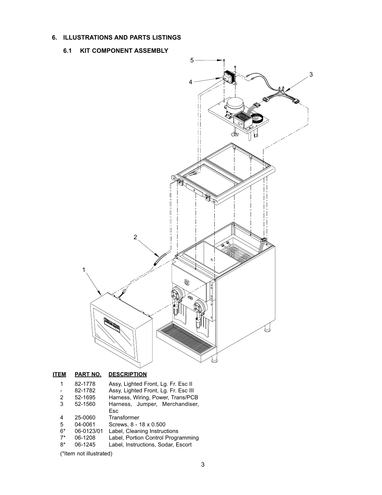# **6. ILLUSTRATIONS AND PARTS LISTINGS**

# **6.1 KIT COMPONENT ASSEMBLY**



# **ITEM PART NO. DESCRIPTION**

| ЕM                      | PARINO.    | <b>DESCRIPTION</b>                   |  |
|-------------------------|------------|--------------------------------------|--|
| 1                       | 82-1778    | Assy, Lighted Front, Lg. Fr. Esc II  |  |
|                         | 82-1782    | Assy, Lighted Front, Lg. Fr. Esc III |  |
| 2                       | 52-1695    | Harness, Wiring, Power, Trans/PCB    |  |
| 3                       | 52-1560    | Harness, Jumper, Merchandiser,       |  |
|                         |            | Esc                                  |  |
| 4                       | 25-0060    | Transformer                          |  |
| 5                       | 04-0061    | Screws, 8 - 18 x 0.500               |  |
| $6*$                    | 06-0123/01 | Label, Cleaning Instructions         |  |
| $7^*$                   | 06-1208    | Label, Portion Control Programming   |  |
| 8*                      | 06-1245    | Label, Instructions, Sodar, Escort   |  |
| (*Item not illustrated) |            |                                      |  |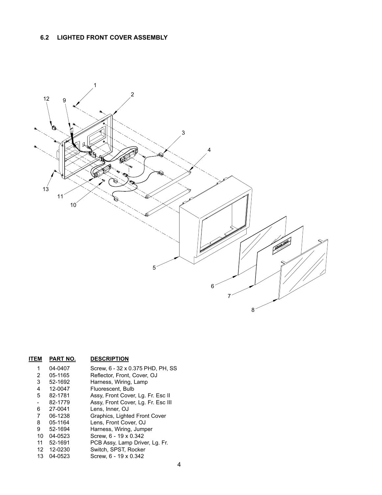# **6.2 LIGHTED FRONT COVER ASSEMBLY**



| <b>ITEM</b>     | PART NO. | <b>DESCRIPTION</b>                 |
|-----------------|----------|------------------------------------|
| 1               | 04-0407  | Screw, 6 - 32 x 0.375 PHD, PH, SS  |
| 2               | 05-1165  | Reflector, Front, Cover, OJ        |
| 3               | 52-1692  | Harness, Wiring, Lamp              |
| 4               | 12-0047  | Fluorescent, Bulb                  |
| 5               | 82-1781  | Assy, Front Cover, Lg. Fr. Esc II  |
| $\overline{a}$  | 82-1779  | Assy, Front Cover, Lg. Fr. Esc III |
| 6               | 27-0041  | Lens. Inner. OJ                    |
| 7               | 06-1238  | Graphics, Lighted Front Cover      |
| 8               | 05-1164  | Lens, Front Cover, OJ              |
| 9               | 52-1694  | Harness, Wiring, Jumper            |
| 10 <sup>1</sup> | 04-0523  | Screw. 6 - 19 x 0.342              |
| 11              | 52-1691  | PCB Assy, Lamp Driver, Lg. Fr.     |
| 12              | 12-0230  | Switch, SPST, Rocker               |
| 13              | 04-0523  | Screw, 6 - 19 x 0.342              |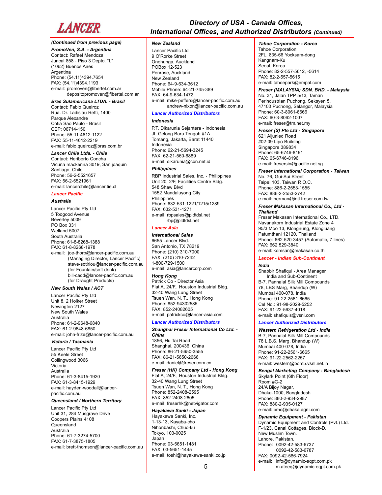

# *(Continued from previous page)*

*PromoVen, S.A. - Argentina* Contact: Rafael Mendoza Juncal 858 - Piso 3 Depto. "L" (1062) Buenos Aires **Argentina** Phone: (54.11)4394.7654 FAX: (54.11)4394.1193 e-mail: promoven@fibertel.com.ar depositopromoven@fibertel.com.ar

#### *Bras Sulamericana LTDA. - Brasil*

Contact: Fabio Queiroz Rua. Dr. Ladislau Retti, 1400 Parque Alexandre Cotia Sao Paulo - Brasil CEP: 06714-150 Phone: 55-11-4612-1122 FAX: 55-11-4612-2219 e-mail: fabio.queiroz@bras.com.br

# *Lancer Chile Ltda. - Chile*

Contact: Heriberto Concha Vicuna mackenna 3019, San joaquin Santiago, Chile Phone: 56-2-5521657 FAX: 56-2-5521961 e-mail: lancerchile@lancer.tie.cl

#### *Lancer Pacific*

#### *Australia*

Lancer Pacific Pty Ltd 5 Toogood Avenue Beverley 5009 PO Box 331 Welland 5007 South Australia Phone: 61-8-8268-1388 FAX: 61-8-8268-1978 e-mail: joe-thorp@lancer-pacific.com.au (Managing Director, Lancer Pacific) steve-sotiriou@lancer-pacific.com.au (for Fountain/soft drink) bill-cadd@lancer-pacific.com.au (for Draught Products)

# *New South Wales / ACT*

Lancer Pacific Pty Ltd Unit 8, 2 Holker Street Newington 2127 New South Wales Australia Phone: 61-2-9648-6840 FAX: 61-2-9648-6850 e-mail: john-frize@lancer-pacific.com.au

# *Victoria / Tasmania*

Lancer Pacific Pty Ltd 55 Keele Street Collingwood 3066 Victoria Australia Phone: 61-3-8415-1920 FAX: 61-3-8415-1929 e-mail: hayden-woodall@lancerpacific.com.au

#### *Queensland / Northern Territory*

Lancer Pacific Pty Ltd Unit 31, 284 Musgrave Drive Coopers Plains 4108 Queensland Australia Phone: 61-7-3274-5700 FAX: 61-7-3875-1805 e-mail: brett-thomson@lancer-pacific.com.au

# *Directory of USA - Canada Offices, International Offices, and Authorized Distributors (Continued)*

### *New Zealand*

Lancer Pacific Ltd 9 O'Rorke Street Onehunga, Auckland POBox 12-523 Penrose, Auckland New Zealand Phone: 64-9-634-3612 Mobile Phone: 64-21-745-389 FAX: 64-9-634-1472 e-mail: mike-peffers@lancer-pacific.com.au andrew-nixon@lancer-pacific.com.au

#### *Lancer Authorized Distributors*

# *Indonesia*

P.T. Dikarunia Sejahtera - Indonesia JI. Gelong Baru Tengah #1A Tomang, Jakarta, Barat 11440 Indonesia Phone: 62-21-5694-3245 FAX: 62-21-560-6889 e-mail: dikarunia@cbn.net.id

## *Philippines*

RBP Industrial Sales, Inc. - Philippines Unit 20, 2/F, Facilities Centre Bldg. 548 Shaw Blvd 1552 Mandaluyong City Philippines Phone: 632-531-1221/1215/1289 FAX: 632-531-1271 e-mail: rbpsales@pldtdsl.net rbp@pldtdsl.net

# *Lancer Asia*

*International Sales* 6655 Lancer Blvd. San Antonio, TX 78219 Phone: (210) 310-7000 FAX: (210) 310-7242 1-800-729-1500 e-mail: asia@lancercorp.com

# *Hong Kong*

Patrick Co - Director Asia Flat A, 24/F., Houston Industrial Bldg. 32-40 Wang Lung Street Tsuen Wan, N. T., Hong Kong Phone: 852-94302585 FAX: 852-24082605 e-mail: patrickco@lancer-asia.com

### *Lancer Authorized Distributors*

#### *Shanghai Freser International Co Ltd. - China* 1856, Hu Tai Road Shanghai, 200436, China

Phone: 86-21-5650-3555 FAX: 86-21-5650-2666 e-mail: daniel@freser.com.cn

# *Freser (HK) Company Ltd - Hong Kong*

Flat A, 24/F., Houston Industrial Bldg. 32-40 Wang Lung Street Tsuen Wan, N. T., Hong Kong Phone: 852-2408-2595 FAX: 852-2408-2605 e-mail: freserhk@netvigator.com

# *Hayakawa Sanki - Japan*

Hayakawa Sanki, Inc. 1-13-13, Kayaba-cho Nihonbashi, Chuo-ku Tokyo, 103-0025 Japan Phone: 03-5651-1481 FAX: 03-5651-1445 e-mail: toshi@hayakawa-sanki.co.jp

# *Tahoe Corporation - Korea*

Tahoe Corporation 2FL, 835-66 Yocksam-dong Kangnam-Ku Seoul, Korea Phone: 82-2-557-5612, -5614 FAX: 82-2-557-5615 e-mail: tahoepark@empal.com

# *Freser (MALAYSIA) SDN. BHD. - Malaysia*

No. 31, Jalan TPP 5/13, Taman Perindustrian Puchong, Seksyen 5, 47100 Puchong, Selangor, Malaysia Phone: 60-3-8061-6666 FAX: 60-3-8062-1007 e-mail: freser@tm.net.my

#### *Freser (S) Pte Ltd - Singapore*

621 Aljunied Road #02-09 Lipo Building Singapore 389834 Phone: 65-6746-8191 FAX: 65-6746-8196 e-mail: fresersin@pacific.net.sg

# *Freser International Corporation - Taiwan*

No. 76, Gui-Sui Street Taipei 103, Taiwan R.O.C. Phone: 886-2-2553-1555 FAX: 886-2-2553-2742 e-mail: herman@intl.freser.com.tw

#### *Freser Makasan International Co., Ltd - Thailand*

Freser Makasan International Co., LTD. Navanakorn Industrial Estate Zone 4 95/3 Moo 13, Klongnung, Klongluang Patumthani 12120, Thailand Phone: 662 520-3457 (Automatic, 7 lines) FAX: 662 529-3840 e-mail: komsan@makasan.co.th

# *Lancer - Indian Sub-Continent*

# *India*

Shabbir Shafiqui - Area Manager India and Sub-Continent B-7, Pannalal Silk Mill Compounds 78, LBS Marg, Bhandup (W) Mumbai 400-078, India Phone: 91-22-2561-6665 Cel No.: 91-98-2029-5252 FAX: 91-22-5637-4018 e-mail: shafiquis@vsnl.com

### *Lancer Authorized Distributors*

# *Western Refrigeration Ltd - India*

B-7, Pannalal Silk Mill Compounds 78 L.B.S. Marg, Bhandup (W) Mumbai 400-078, India Phone: 91-22-2561-6665 FAX: 91-22-2562-2257 e-mail: western@bom5.vsnl.net.in

#### *Bengal Marketing Company - Bangladesh* Skylark Point (6th Floor)

Room #G-2 24/A Bijoy Nagar, Dhaka-1000, Bangladesh Phone: 880-2-934-2987 FAX: 880-2-935-0127 e-mail: bmc@dhaka.agni.com

# *Dynamic Equipment - Pakistan*

Dynamic Equipment and Controls (Pvt.) Ltd. F-1/23, Canal Cottages, Block-D. New Muslim Town. Lahore. Pakistan. Phone: 0092-42-583-6737 0092-42-583-6787 FAX: 0092-42-586-7924 e-mail: info@dynamic-eqpt.com.pk m.ateeq@dynamic-eqpt.com.pk